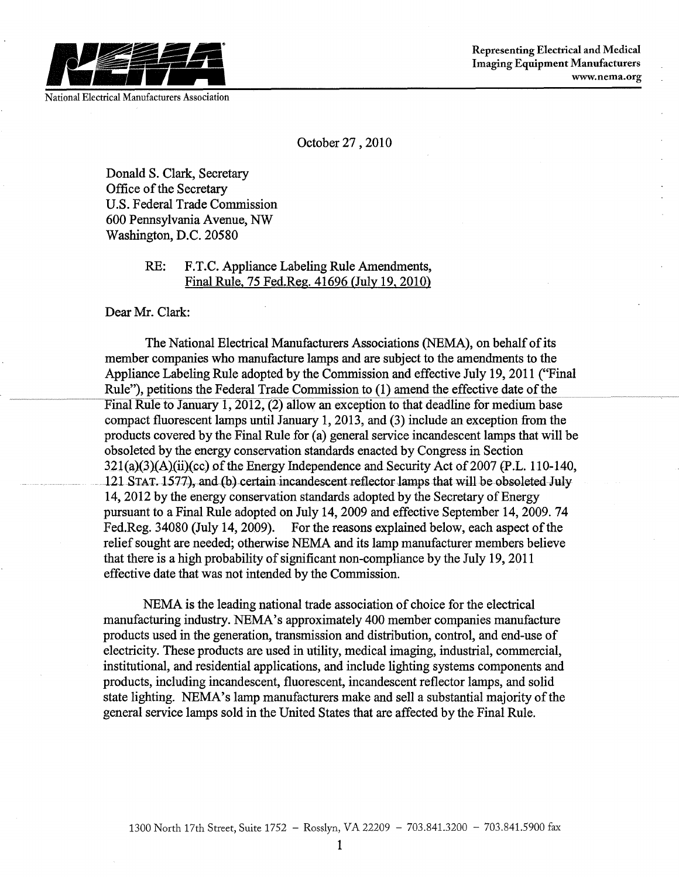

National Electrical Manufacturers Association

October 27,2010

Donald S. Clark, Secretary Office of the Secretary U.S. Federal Trade Commission 600 Pennsylvania Avenue, NW Washington, D.C. 20580

> RE: F.T.C. Appliance Labeling Rule Amendments, Final Rule, 75 Fed.Reg. 41696 (July 19, 2010)

Dear Mr. Clark:

The National Electrical Manufacturers Associations (NEMA), on behalf of its member companies who manufacture lamps and are subject to the amendments to the Appliance Labeling Rule adopted by the Commission and effective July 19, 2011 ("Final Rule"), petitions the Federal Trade Commission to (1) amend the effective date of the Final Rule to January 1, 2012, (2) allow an exception to that deadline for medium base compact fluorescent lamps until January 1, 2013, and (3) include an exception from the products covered by the Final Rule for (a) general service incandescent lamps that will be obsoleted by the energy conservation standards enacted by Congress in Section  $321(a)(3)(A)(ii)(cc)$  of the Energy Independence and Security Act of 2007 (P.L. 110-140, 121 STAT. 1577), and (b) certain incandescent reflector lamps that will be obsoleted July 14,2012 by the energy conservation standards adopted by the Secretary of Energy pursuant to a Final Rule adopted on July 14, 2009 and effective September 14, 2009. 74 Fed.Reg. 34080 (July 14, 2009). For the reasons explained below, each aspect of the relief sought are needed; otherwise NEMA and its lamp manufacturer members believe that there is a high probability of significant non-compliance by the July 19, 2011 effective date that was not intended by the Commission.

NEMA is the leading national trade association of choice for the electrical manufacturing industry. NEMA's approximately 400 member companies manufacture products used in the generation, transmission and distribution, control, and end-use of electricity. These products are used in utility, medical imaging, industrial, commercial, institutional, and residential applications, and include lighting systems components and products, including incandescent, fluorescent, incandescent reflector lamps, and solid state lighting. NEMA's lamp manufacturers make and sell a substantial majority of the general service lamps sold in the United States that are affected by the Final Rule.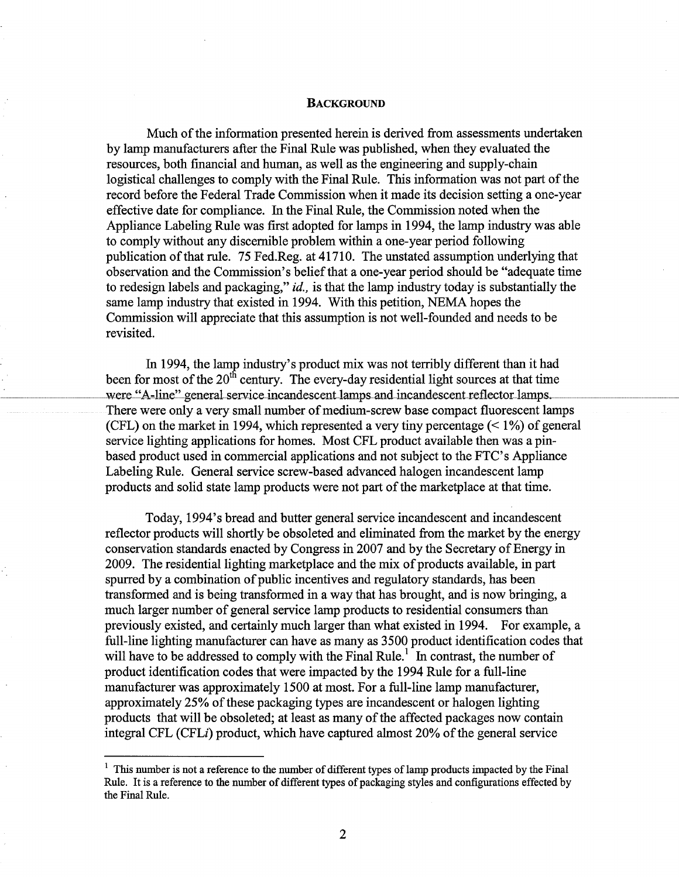## **BACKGROUND**

Much of the information presented herein is derived from assessments undertaken by lamp manufacturers after the Final Rule was published, when they evaluated the resources, both financial and human, as well as the engineering and supply-chain logistical challenges to comply with the Final Rule. This information was not part of the record before the Federal Trade Commission when it made its decision setting a one-year effective date for compliance. In the Final Rule, the Commission noted when the Appliance Labeling Rule was first adopted for lamps in 1994, the lamp industry was able to comply without any discernible problem within a one-year period following publication of that rule. 75 Fed.Reg. at 41710. The unstated assumption underlying that observation and the Commission's beliefthat a one-year period should be "adequate time to redesign labels and packaging," *id.,* is that the lamp industry today is substantially the same lamp industry that existed in 1994. With this petition, NEMA hopes the Commission will appreciate that this assumption is not well-founded and needs to be revisited.

In 1994, the lamp industry's product mix was not terribly different than it had been for most of the  $20<sup>th</sup>$  century. The every-day residential light sources at that time were "A-line" general service incandescent lamps and incandescent reflector lamps. There were only a very small number of medium-screw base compact fluorescent lamps (CFL) on the market in 1994, which represented a very tiny percentage  $($  < 1%) of general service lighting applications for homes. Most CFL product available then was a pinbased product used in commercial applications and not subject to the FTC's Appliance Labeling Rule. General service screw-based advanced halogen incandescent lamp products and solid state lamp products were not part of the marketplace at that time.

Today, 1994's bread and butter general service incandescent and incandescent reflector products will shortly be obsoleted and eliminated from the market by the energy conservation standards enacted by Congress in 2007 and by the Secretary of Energy in 2009. The residential lighting marketplace and the mix of products available, in part spurred by a combination of public incentives and regulatory standards, has been transformed and is being transformed in a way that has brought, and is now bringing, a much larger number of general service lamp products to residential consumers than previously existed, and certainly much larger than what existed in 1994. For example, a full-line lighting manufacturer can have as many as 3500 product identification codes that will have to be addressed to comply with the Final Rule.<sup>1</sup> In contrast, the number of product identification codes that were impacted by the 1994 Rule for a full-line manufacturer was approximately 1500 at most. For a full-line lamp manufacturer, approximately 25% of these packaging types are incandescent or halogen lighting products that will be obsoleted; at least as many ofthe affected packages now contain integral CFL (CFLi) product, which have captured almost 20% ofthe general service

<sup>&</sup>lt;sup>1</sup> This number is not a reference to the number of different types of lamp products impacted by the Final Rule. It is a reference to the number of different types of packaging styles and configurations effected by the Final Rule.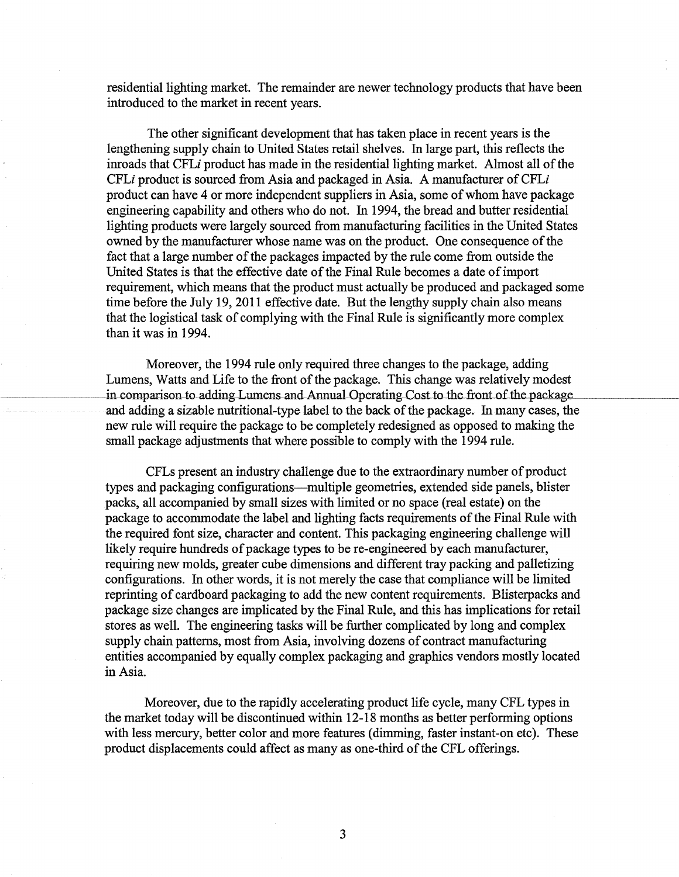residential lighting market. The remainder are newer technology products that have been introduced to the market in recent years.

The other significant development that has taken place in recent years is the lengthening supply chain to United States retail shelves. In large part, this reflects the inroads that CFLi product has made in the residential lighting market. Almost all of the CFLi product is sourced from Asia and packaged in Asia. A manufacturer of CFLi product can have 4 or more independent suppliers in Asia, some of whom have package engineering capability and others who do not. In 1994, the bread and butter residential lighting products were largely sourced from manufacturing facilities in the United States owned by the manufacturer whose name was on the product. One consequence of the fact that a large number of the packages impacted by the rule come from outside the United States is that the effective date of the Final Rule becomes a date of import requirement, which means that the product must actually be produced and packaged some time before the July 19, 2011 effective date. But the lengthy supply chain also means that the logistical task of complying with the Final Rule is significantly more complex than it was in 1994.

Moreover, the 1994 rule only required three changes to the package, adding Lumens, Watts and Life to the front of the package. This change was relatively modest in comparison to adding Lumens and Annual Operating Cost to the front of the package and adding a sizable nutritional-type label to the back of the package. In many cases, the new rule will require the package to be completely redesigned as opposed to making the small package adjustments that where possible to comply with the 1994 rule.

CFLs present an industry challenge due to the extraordinary number of product types and packaging configurations-multiple geometries, extended side panels, blister packs, all accompanied by small sizes with limited or no space (real estate) on the package to accommodate the label and lighting facts requirements of the Final Rule with the required font size, character and content. This packaging engineering challenge will likely require hundreds of package types to be re-engineered by each manufacturer, requiring new molds, greater cube dimensions and different tray packing and palletizing configurations. In other words, it is not merely the case that compliance will be limited reprinting of cardboard packaging to add the new content requirements. Blisterpacks and package size changes are implicated by the Final Rule, and this has implications for retail stores as well. The engineering tasks will be further complicated by long and complex supply chain patterns, most from Asia, involving dozens of contract manufacturing entities accompanied by equally complex packaging and graphics vendors mostly located in Asia.

Moreover, due to the rapidly accelerating product life cycle, many CFL types in the market today will be discontinued within 12-18 months as better performing options with less mercury, better color and more features (dimming, faster instant-on etc). These product displacements could affect as many as one-third of the CFL offerings.

3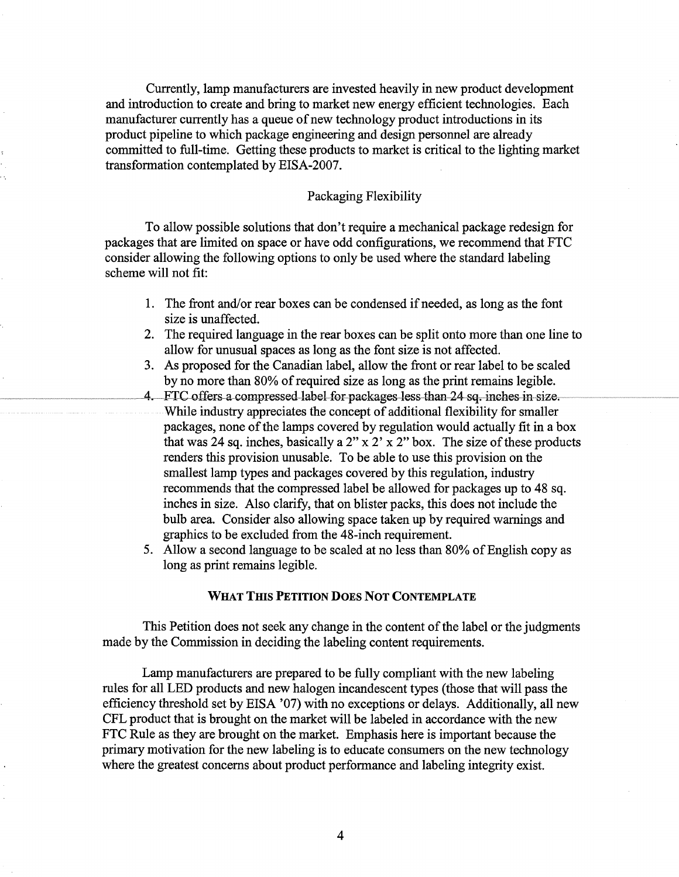Currently, lamp manufacturers are invested heavily in new product development and introduction to create and bring to market new energy efficient technologies. Each manufacturer currently has a queue of new technology product introductions in its product pipeline to which package engineering and design personnel are already committed to full-time. Getting these products to market is critical to the lighting market transformation contemplated by EISA-2007.

# Packaging Flexibility

To allow possible solutions that don't require a mechanical package redesign for packages that are limited on space or have odd configurations, we recommend that FTC consider allowing the following options to only be used where the standard labeling scheme will not fit:

- 1. The front and/or rear boxes can be condensed if needed, as long as the font size is unaffected.
- 2. The required language in the rear boxes can be split onto more than one line to allow for unusual spaces as long as the font size is not affected.
- 3. As proposed for the Canadian label, allow the front or rear label to be scaled by no more than 80% of required size as long as the print remains legible.
- FTC offers a compressed label for packages less than 24 sq. inches in size. 4. While industry appreciates the concept of additional flexibility for smaller packages, none of the lamps covered by regulation would actually fit in a box that was 24 sq. inches, basically a  $2'' \times 2' \times 2''$  box. The size of these products renders this provision unusable. To be able to use this provision on the smallest lamp types and packages covered by this regulation, industry recommends that the compressed label be allowed for packages up to 48 sq. inches in size. Also clarify, that on blister packs, this does not include the bulb area. Consider also allowing space taken up by required warnings and graphics to be excluded from the 48-inch requirement.
- 5. Allow a second language to be scaled at no less than 80% of English copy as long as print remains legible.

## **WHAT THIS PETITION DOES NOT CONTEMPLATE**

This Petition does not seek any change in the content of the label or the judgments made by the Commission in deciding the labeling content requirements.

Lamp manufacturers are prepared to be fully compliant with the new labeling rules for all LED products and new halogen incandescent types (those that will pass the efficiency threshold set by EISA '07) with no exceptions or delays. Additionally, all new CFL product that is brought on the market will be labeled in accordance with the new FTC Rule as they are brought on the market. Emphasis here is important because the primary motivation for the new labeling is to educate consumers on the new technology where the greatest concerns about product performance and labeling integrity exist.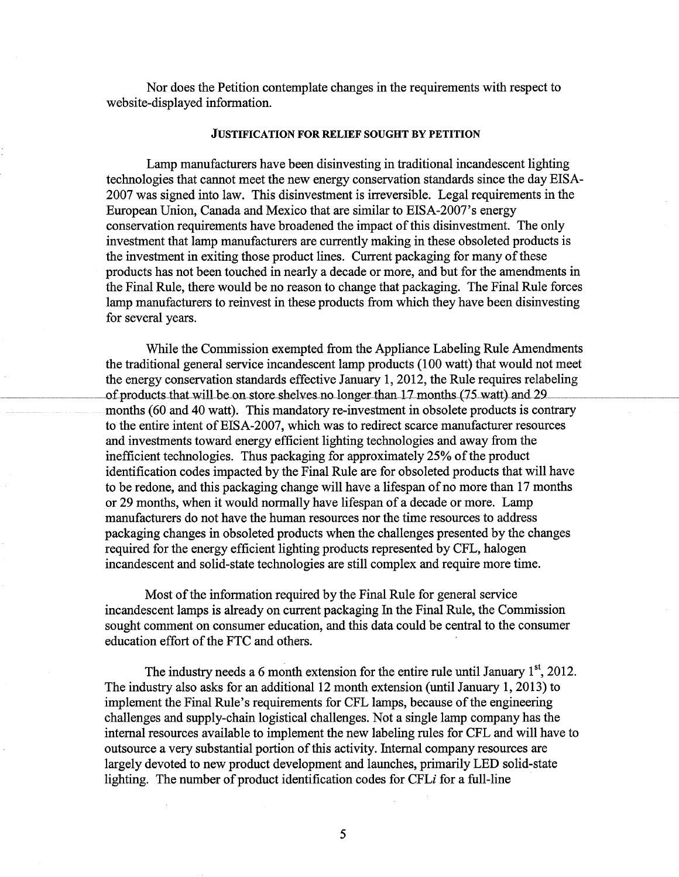Nor does the Petition contemplate changes in the requirements with respect to website-displayed information.

#### JUSTIFICATION FOR RELIEF SOUGHT BY PETITION

Lamp manufacturers have been disinvesting in traditional incandescent lighting technologies that cannot meet the new energy conservation standards since the day EISA-2007 was signed into law. This disinvestment is irreversible. Legal requirements in the European Union, Canada and Mexico that are similar to EISA-2007's energy conservation requirements have broadened the impact of this disinvestment. The only investment that lamp manufacturers are currently making in these obsoleted products is the investment in exiting those product lines. Current packaging for many of these products has not been touched in nearly a decade or more, and but for the amendments in the Final Rule, there would be no reason to change that packaging. The Final Rule forces lamp manufacturers to reinvest in these products from which they have been disinvesting for several years.

While the Commission exempted from the Appliance Labeling Rule Amendments the traditional general service incandescent lamp products (100 watt) that would not meet the energy conservation standards effective January 1, 2012, the Rule requires relabeling of products that will be on store shelves no longer than 17 months (75 watt) and 29. months (60 and 40 watt). This mandatory re-investment in obsolete products is contrary to the entire intent of EISA-2007, which was to redirect scarce manufacturer resources and investments toward energy efficient lighting technologies and away from the inefficient technologies. Thus packaging for approximately 25% of the product identification codes impacted by the Final Rule are for obsoleted products that will have to be redone, and this packaging change will have a lifespan of no more than 17 months or 29 months, when it would normally have lifespan of a decade or more. Lamp manufacturers do not have the human resources nor the time resources to address packaging changes in obsoleted products when the challenges presented by the changes required for the energy efficient lighting products represented by CFL, halogen incandescent and solid-state technologies are still complex and require more time.

Most of the information required by the Final Rule for general service incandescent lamps is already on current packaging In the Final Rule, the Commission sought comment on consumer education, and this data could be central to the consumer education effort of the FTC and others.

The industry needs a 6 month extension for the entire rule until January  $1<sup>st</sup>$ , 2012. The industry also asks for an additional 12 month extension (until January 1,2013) to implement the Final Rule's requirements for CFL lamps, because of the engineering challenges and supply-chain logistical challenges. Not a single lamp company has the internal resources available to implement the new labeling rules for CFL and will have to outsource a very substantial portion of this activity. Internal company resources are largely devoted to new product development and launches, primarily LED solid-state lighting. The number of product identification codes for CFL $i$  for a full-line

5